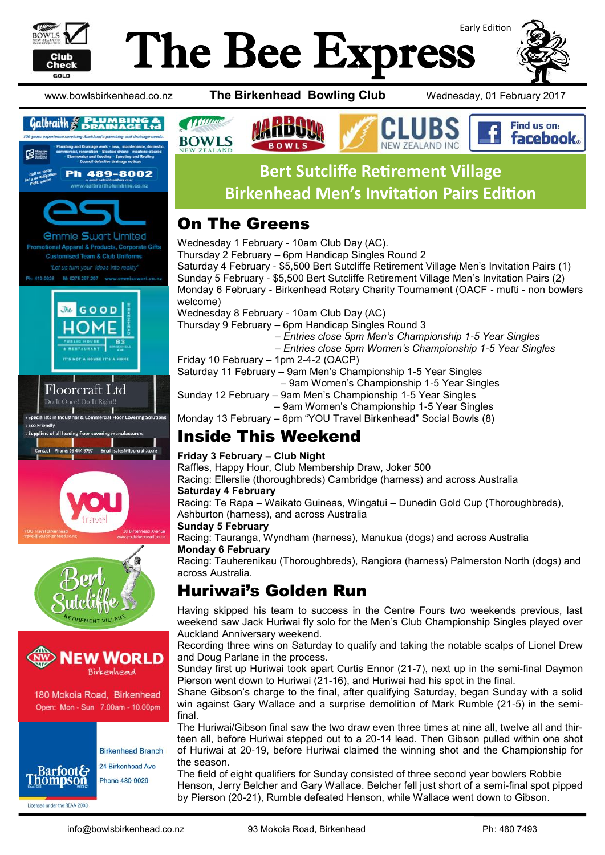

# Early Edition The Bee Express

**BOWLS** 



Find us on: **facebook** 

www.bowlsbirkenhead.co.nz **The Birkenhead Bowling Club** Wednesday, 01 February 2017





**Customised Team & Club Uniforms** Let us turn your ideas into reality

M: 0275 297-297 419-0926











180 Mokoia Road, Birkenhead Open: Mon - Sun 7.00am - 10.00pm

Licensed under the REAA 2008

**Birkenhead Branch** 24 Birkenhead Ave **Barfoot& Thompson** Phone 480-9029

# **Bert Sutcliffe Retirement Village Birkenhead Men's Invitation Pairs Edition**

NFW 7FAI AND INC

### On The Greens

**Al Mance** 

**BOWLS** 

Wednesday 1 February - 10am Club Day (AC). Thursday 2 February – 6pm Handicap Singles Round 2 Saturday 4 February - \$5,500 Bert Sutcliffe Retirement Village Men's Invitation Pairs (1) Sunday 5 February - \$5,500 Bert Sutcliffe Retirement Village Men's Invitation Pairs (2) Monday 6 February - Birkenhead Rotary Charity Tournament (OACF - mufti - non bowlers welcome) Wednesday 8 February - 10am Club Day (AC) Thursday 9 February – 6pm Handicap Singles Round 3  *– Entries close 5pm Men's Championship 1-5 Year Singles – Entries close 5pm Women's Championship 1-5 Year Singles* Friday 10 February – 1pm 2-4-2 (OACP) Saturday 11 February – 9am Men's Championship 1-5 Year Singles – 9am Women's Championship 1-5 Year Singles

- Sunday 12 February 9am Men's Championship 1-5 Year Singles
	- 9am Women's Championship 1-5 Year Singles
- Monday 13 February 6pm "YOU Travel Birkenhead" Social Bowls (8)

### Inside This Weekend

#### **Friday 3 February – Club Night**

Raffles, Happy Hour, Club Membership Draw, Joker 500

Racing: Ellerslie (thoroughbreds) Cambridge (harness) and across Australia

#### **Saturday 4 February**

Racing: Te Rapa – Waikato Guineas, Wingatui – Dunedin Gold Cup (Thoroughbreds), Ashburton (harness), and across Australia

#### **Sunday 5 February**

Racing: Tauranga, Wyndham (harness), Manukua (dogs) and across Australia **Monday 6 February**

Racing: Tauherenikau (Thoroughbreds), Rangiora (harness) Palmerston North (dogs) and across Australia.

## Huriwai's Golden Run

Having skipped his team to success in the Centre Fours two weekends previous, last weekend saw Jack Huriwai fly solo for the Men's Club Championship Singles played over Auckland Anniversary weekend.

Recording three wins on Saturday to qualify and taking the notable scalps of Lionel Drew and Doug Parlane in the process.

Sunday first up Huriwai took apart Curtis Ennor (21-7), next up in the semi-final Daymon Pierson went down to Huriwai (21-16), and Huriwai had his spot in the final.

Shane Gibson's charge to the final, after qualifying Saturday, began Sunday with a solid win against Gary Wallace and a surprise demolition of Mark Rumble (21-5) in the semifinal.

The Huriwai/Gibson final saw the two draw even three times at nine all, twelve all and thirteen all, before Huriwai stepped out to a 20-14 lead. Then Gibson pulled within one shot of Huriwai at 20-19, before Huriwai claimed the winning shot and the Championship for the season.

The field of eight qualifiers for Sunday consisted of three second year bowlers Robbie Henson, Jerry Belcher and Gary Wallace. Belcher fell just short of a semi-final spot pipped by Pierson (20-21), Rumble defeated Henson, while Wallace went down to Gibson.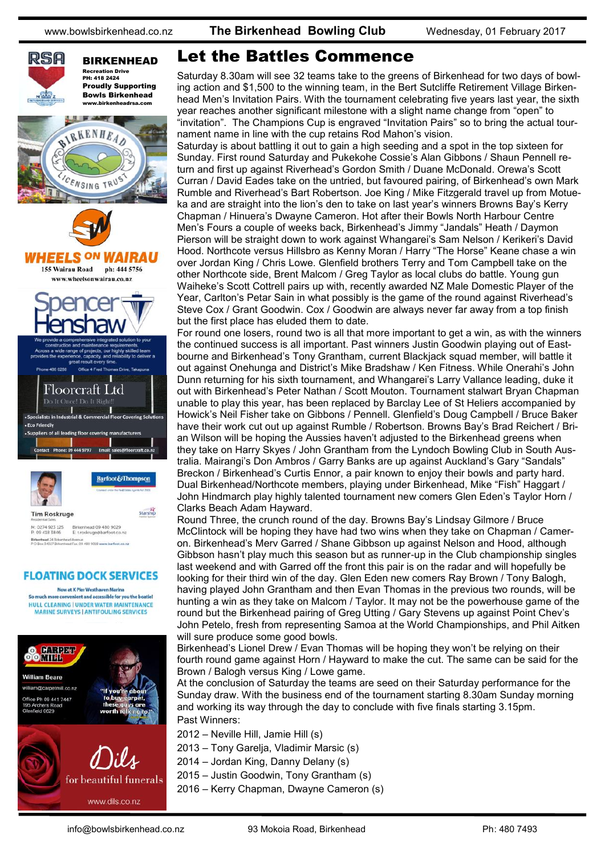

BIRKENHEAD Recreation Drive PH: 418 2424 Proudly Supporting Bowls Birkenhead







Birkenhead 09 480 9029<br>E: t.roskruge@barfoot.co M: 0274 923 125<br>P: 09 418 3846 Birkenhead 24 Birkenhead Avenue<br>Birkenhead 24 Birkenhead Avenue

#### **FLOATING DOCK SERVICES**

Now at X Pier Westhaven Marina So much more convenient and accessible for you the boatie HULL CLEANING | UNDER WATER MAINTENANCE **MARINE SURVEYS | ANTIFOULING SERVICES** 



#### Let the Battles Commence

Saturday 8.30am will see 32 teams take to the greens of Birkenhead for two days of bowling action and \$1,500 to the winning team, in the Bert Sutcliffe Retirement Village Birkenhead Men's Invitation Pairs. With the tournament celebrating five years last year, the sixth year reaches another significant milestone with a slight name change from "open" to "invitation". The Champions Cup is engraved "Invitation Pairs" so to bring the actual tournament name in line with the cup retains Rod Mahon's vision.

Saturday is about battling it out to gain a high seeding and a spot in the top sixteen for Sunday. First round Saturday and Pukekohe Cossie's Alan Gibbons / Shaun Pennell return and first up against Riverhead's Gordon Smith / Duane McDonald. Orewa's Scott Curran / David Eades take on the untried, but favoured pairing, of Birkenhead's own Mark Rumble and Riverhead's Bart Robertson. Joe King / Mike Fitzgerald travel up from Motueka and are straight into the lion's den to take on last year's winners Browns Bay's Kerry Chapman / Hinuera's Dwayne Cameron. Hot after their Bowls North Harbour Centre Men's Fours a couple of weeks back, Birkenhead's Jimmy "Jandals" Heath / Daymon Pierson will be straight down to work against Whangarei's Sam Nelson / Kerikeri's David Hood. Northcote versus Hillsbro as Kenny Moran / Harry "The Horse" Keane chase a win over Jordan King / Chris Lowe. Glenfield brothers Terry and Tom Campbell take on the other Northcote side, Brent Malcom / Greg Taylor as local clubs do battle. Young gun Waiheke's Scott Cottrell pairs up with, recently awarded NZ Male Domestic Player of the Year, Carlton's Petar Sain in what possibly is the game of the round against Riverhead's Steve Cox / Grant Goodwin. Cox / Goodwin are always never far away from a top finish but the first place has eluded them to date.

For round one losers, round two is all that more important to get a win, as with the winners the continued success is all important. Past winners Justin Goodwin playing out of Eastbourne and Birkenhead's Tony Grantham, current Blackjack squad member, will battle it out against Onehunga and District's Mike Bradshaw / Ken Fitness. While Onerahi's John Dunn returning for his sixth tournament, and Whangarei's Larry Vallance leading, duke it out with Birkenhead's Peter Nathan / Scott Mouton. Tournament stalwart Bryan Chapman unable to play this year, has been replaced by Barclay Lee of St Heliers accompanied by Howick's Neil Fisher take on Gibbons / Pennell. Glenfield's Doug Campbell / Bruce Baker have their work cut out up against Rumble / Robertson. Browns Bay's Brad Reichert / Brian Wilson will be hoping the Aussies haven't adjusted to the Birkenhead greens when they take on Harry Skyes / John Grantham from the Lyndoch Bowling Club in South Australia. Mairangi's Don Ambros / Garry Banks are up against Auckland's Gary "Sandals" Breckon / Birkenhead's Curtis Ennor, a pair known to enjoy their bowls and party hard. Dual Birkenhead/Northcote members, playing under Birkenhead, Mike "Fish" Haggart / John Hindmarch play highly talented tournament new comers Glen Eden's Taylor Horn / Clarks Beach Adam Hayward.

Round Three, the crunch round of the day. Browns Bay's Lindsay Gilmore / Bruce McClintock will be hoping they have had two wins when they take on Chapman / Cameron. Birkenhead's Merv Garred / Shane Gibbson up against Nelson and Hood, although Gibbson hasn't play much this season but as runner-up in the Club championship singles last weekend and with Garred off the front this pair is on the radar and will hopefully be looking for their third win of the day. Glen Eden new comers Ray Brown / Tony Balogh, having played John Grantham and then Evan Thomas in the previous two rounds, will be hunting a win as they take on Malcom / Taylor. It may not be the powerhouse game of the round but the Birkenhead pairing of Greg Utting / Gary Stevens up against Point Chev's John Petelo, fresh from representing Samoa at the World Championships, and Phil Aitken will sure produce some good bowls.

Birkenhead's Lionel Drew / Evan Thomas will be hoping they won't be relying on their fourth round game against Horn / Hayward to make the cut. The same can be said for the Brown / Balogh versus King / Lowe game.

At the conclusion of Saturday the teams are seed on their Saturday performance for the Sunday draw. With the business end of the tournament starting 8.30am Sunday morning and working its way through the day to conclude with five finals starting 3.15pm. Past Winners:

2012 – Neville Hill, Jamie Hill (s)

- 2013 Tony Garelja, Vladimir Marsic (s)
- 2014 Jordan King, Danny Delany (s)
- 2015 Justin Goodwin, Tony Grantham (s)
- 2016 Kerry Chapman, Dwayne Cameron (s)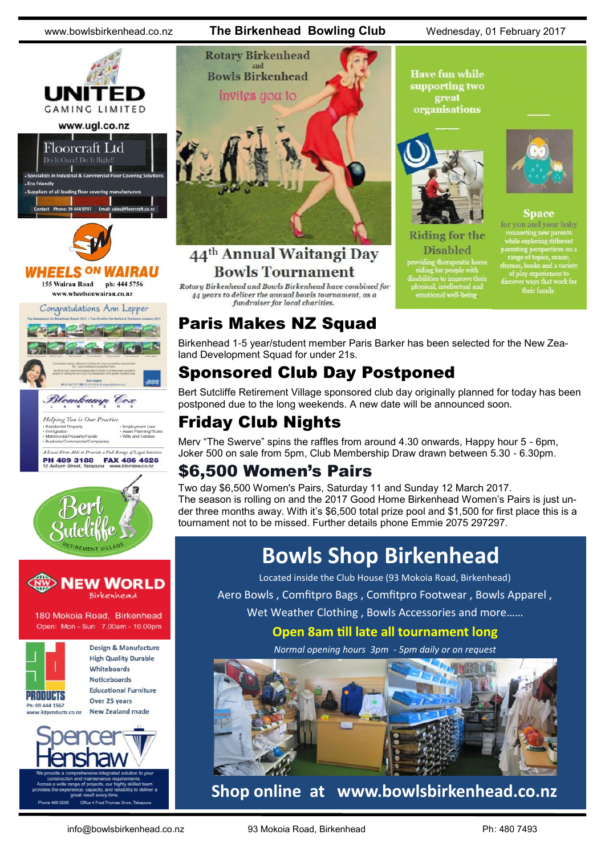



#### **IEELS <sup>ON</sup> WAIRAU** 155 Wairau Road ph: 444 5756

www.wheelsonwairau.co.nz

Congratulations Ann Lepper







180 Mokoia Road, Birkenhead Open: Mon - Sun 7.00am - 10.00pm



Design & Manufacture **High Quality Durable** Whiteboards **Noticeboards Educational Furniture** Over 25 years **New Zealand made** 







#### 44<sup>th</sup> Annual Waitangi Day **Bowls Tournament**

Rotary Birkenhead and Bowls Birkenhead have combined for 44 years to deliver the annual bowls tournament, as a fundraiser for local charities.

**Have fun while** supporting two great organisations



**Riding for the Disabled** 

for you and your baby thes, books and a variety<br>of play experiences to<br>cover ways that work for<br>their family.

**Space** 

### Paris Makes NZ Squad

Birkenhead 1-5 year/student member Paris Barker has been selected for the New Zealand Development Squad for under 21s.

### Sponsored Club Day Postponed

Bert Sutcliffe Retirement Village sponsored club day originally planned for today has been postponed due to the long weekends. A new date will be announced soon.

### Friday Club Nights

Merv "The Swerve" spins the raffles from around 4.30 onwards, Happy hour 5 - 6pm, Joker 500 on sale from 5pm, Club Membership Draw drawn between 5.30 - 6.30pm.

### \$6,500 Women's Pairs

Two day \$6,500 Women's Pairs, Saturday 11 and Sunday 12 March 2017. The season is rolling on and the 2017 Good Home Birkenhead Women's Pairs is just under three months away. With it's \$6,500 total prize pool and \$1,500 for first place this is a tournament not to be missed. Further details phone Emmie 2075 297297.

# **Bowls Shop Birkenhead**

Located inside the Club House (93 Mokoia Road, Birkenhead)

Aero Bowls , Comfitpro Bags , Comfitpro Footwear , Bowls Apparel ,

Wet Weather Clothing , Bowls Accessories and more……

**Open 8am till late all tournament long**

*Normal opening hours 3pm - 5pm daily or on request*



### **Shop online at www.bowlsbirkenhead.co.nz**